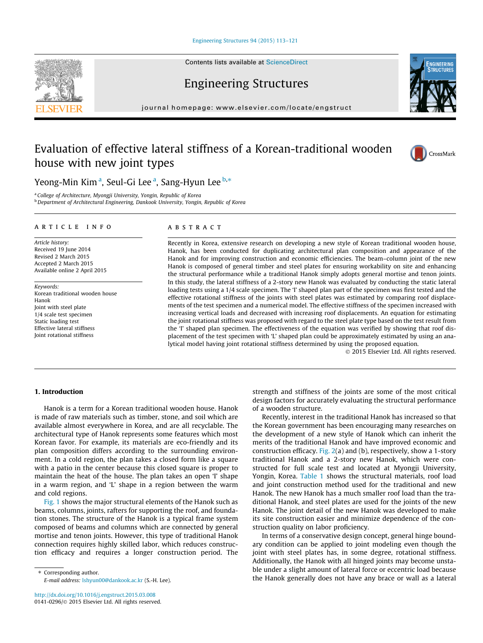#### [Engineering Structures 94 \(2015\) 113–121](http://dx.doi.org/10.1016/j.engstruct.2015.03.008)

Contents lists available at [ScienceDirect](http://www.sciencedirect.com/science/journal/01410296)



journal homepage: [www.elsevier.com/locate/engstruct](http://www.elsevier.com/locate/engstruct)

# Evaluation of effective lateral stiffness of a Korean-traditional wooden house with new joint types

Yeong-Min Kim<sup>a</sup>, Seul-Gi Lee<sup>a</sup>, Sang-Hyun Lee <sup>b,</sup>\*

<sup>a</sup> College of Architecture, Myongji University, Yongin, Republic of Korea <sup>b</sup> Department of Architectural Engineering, Dankook University, Yongin, Republic of Korea

#### article info

Article history: Received 19 June 2014 Revised 2 March 2015 Accepted 2 March 2015 Available online 2 April 2015

Keywords: Korean traditional wooden house Hanok Joint with steel plate 1/4 scale test specimen Static loading test Effective lateral stiffness Joint rotational stiffness

### ABSTRACT

Recently in Korea, extensive research on developing a new style of Korean traditional wooden house, Hanok, has been conducted for duplicating architectural plan composition and appearance of the Hanok and for improving construction and economic efficiencies. The beam–column joint of the new Hanok is composed of general timber and steel plates for ensuring workability on site and enhancing the structural performance while a traditional Hanok simply adopts general mortise and tenon joints. In this study, the lateral stiffness of a 2-story new Hanok was evaluated by conducting the static lateral loading tests using a 1/4 scale specimen. The 'I' shaped plan part of the specimen was first tested and the effective rotational stiffness of the joints with steel plates was estimated by comparing roof displacements of the test specimen and a numerical model. The effective stiffness of the specimen increased with increasing vertical loads and decreased with increasing roof displacements. An equation for estimating the joint rotational stiffness was proposed with regard to the steel plate type based on the test result from the 'I' shaped plan specimen. The effectiveness of the equation was verified by showing that roof displacement of the test specimen with 'L' shaped plan could be approximately estimated by using an analytical model having joint rotational stiffness determined by using the proposed equation.

- 2015 Elsevier Ltd. All rights reserved.

## 1. Introduction

Hanok is a term for a Korean traditional wooden house. Hanok is made of raw materials such as timber, stone, and soil which are available almost everywhere in Korea, and are all recyclable. The architectural type of Hanok represents some features which most Korean favor. For example, its materials are eco-friendly and its plan composition differs according to the surrounding environment. In a cold region, the plan takes a closed form like a square with a patio in the center because this closed square is proper to maintain the heat of the house. The plan takes an open 'I' shape in a warm region, and 'L' shape in a region between the warm and cold regions.

[Fig. 1](#page-1-0) shows the major structural elements of the Hanok such as beams, columns, joints, rafters for supporting the roof, and foundation stones. The structure of the Hanok is a typical frame system composed of beams and columns which are connected by general mortise and tenon joints. However, this type of traditional Hanok connection requires highly skilled labor, which reduces construction efficacy and requires a longer construction period. The

⇑ Corresponding author. E-mail address: [lshyun00@dankook.ac.kr](mailto:lshyun00@dankook.ac.kr) (S.-H. Lee). strength and stiffness of the joints are some of the most critical design factors for accurately evaluating the structural performance of a wooden structure.

Recently, interest in the traditional Hanok has increased so that the Korean government has been encouraging many researches on the development of a new style of Hanok which can inherit the merits of the traditional Hanok and have improved economic and construction efficacy. Fig.  $2(a)$  and (b), respectively, show a 1-story traditional Hanok and a 2-story new Hanok, which were constructed for full scale test and located at Myongji University, Yongin, Korea. [Table 1](#page-1-0) shows the structural materials, roof load and joint construction method used for the traditional and new Hanok. The new Hanok has a much smaller roof load than the traditional Hanok, and steel plates are used for the joints of the new Hanok. The joint detail of the new Hanok was developed to make its site construction easier and minimize dependence of the construction quality on labor proficiency.

In terms of a conservative design concept, general hinge boundary condition can be applied to joint modeling even though the joint with steel plates has, in some degree, rotational stiffness. Additionally, the Hanok with all hinged joints may become unstable under a slight amount of lateral force or eccentric load because the Hanok generally does not have any brace or wall as a lateral





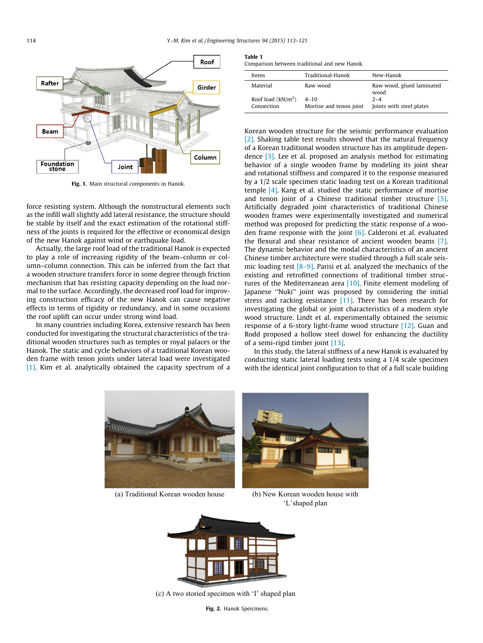<span id="page-1-0"></span>

Fig. 1. Main structural components in Hanok.

force resisting system. Although the nonstructural elements such as the infill wall slightly add lateral resistance, the structure should be stable by itself and the exact estimation of the rotational stiffness of the joints is required for the effective or economical design of the new Hanok against wind or earthquake load.

Actually, the large roof load of the traditional Hanok is expected to play a role of increasing rigidity of the beam–column or column–column connection. This can be inferred from the fact that a wooden structure transfers force in some degree through friction mechanism that has resisting capacity depending on the load normal to the surface. Accordingly, the decreased roof load for improving construction efficacy of the new Hanok can cause negative effects in terms of rigidity or redundancy, and in some occasions the roof uplift can occur under strong wind load.

In many countries including Korea, extensive research has been conducted for investigating the structural characteristics of the traditional wooden structures such as temples or royal palaces or the Hanok. The static and cycle behaviors of a traditional Korean wooden frame with tenon joints under lateral load were investigated [\[1\]](#page--1-0). Kim et al. analytically obtained the capacity spectrum of a Table 1

Comparison between traditional and new Hanok.

| Items                             | Traditional-Hanok                   | New-Hanok                           |
|-----------------------------------|-------------------------------------|-------------------------------------|
| Material                          | Raw wood                            | Raw wood, glued laminated<br>wood   |
| Roof load $(kN/m2)$<br>Connection | $4 - 10$<br>Mortise and tenon joint | $2 - 4$<br>Joints with steel plates |

Korean wooden structure for the seismic performance evaluation [\[2\]](#page--1-0). Shaking table test results showed that the natural frequency of a Korean traditional wooden structure has its amplitude dependence [\[3\].](#page--1-0) Lee et al. proposed an analysis method for estimating behavior of a single wooden frame by modeling its joint shear and rotational stiffness and compared it to the response measured by a 1/2 scale specimen static loading test on a Korean traditional temple [\[4\]](#page--1-0). Kang et al. studied the static performance of mortise and tenon joint of a Chinese traditional timber structure [\[5\].](#page--1-0) Artificially degraded joint characteristics of traditional Chinese wooden frames were experimentally investigated and numerical method was proposed for predicting the static response of a wooden frame response with the joint  $[6]$ . Calderoni et al. evaluated the flexural and shear resistance of ancient wooden beams [\[7\].](#page--1-0) The dynamic behavior and the modal characteristics of an ancient Chinese timber architecture were studied through a full scale seismic loading test [8-9]. Parisi et al. analyzed the mechanics of the existing and retrofitted connections of traditional timber struc-tures of the Mediterranean area [\[10\]](#page--1-0). Finite element modeling of Japanese ''Nuki'' joint was proposed by considering the initial stress and racking resistance [\[11\]](#page--1-0). There has been research for investigating the global or joint characteristics of a modern style wood structure. Lindt et al. experimentally obtained the seismic response of a 6-story light-frame wood structure [\[12\]](#page--1-0). Guan and Rodd proposed a hollow steel dowel for enhancing the ductility of a semi-rigid timber joint [\[13\].](#page--1-0)

In this study, the lateral stiffness of a new Hanok is evaluated by conducting static lateral loading tests using a 1/4 scale specimen with the identical joint configuration to that of a full scale building



(a) Traditional Korean wooden house (b) New Korean wooden house with



'L'shaped plan



(c) A two storied specimen with 'I' shaped plan